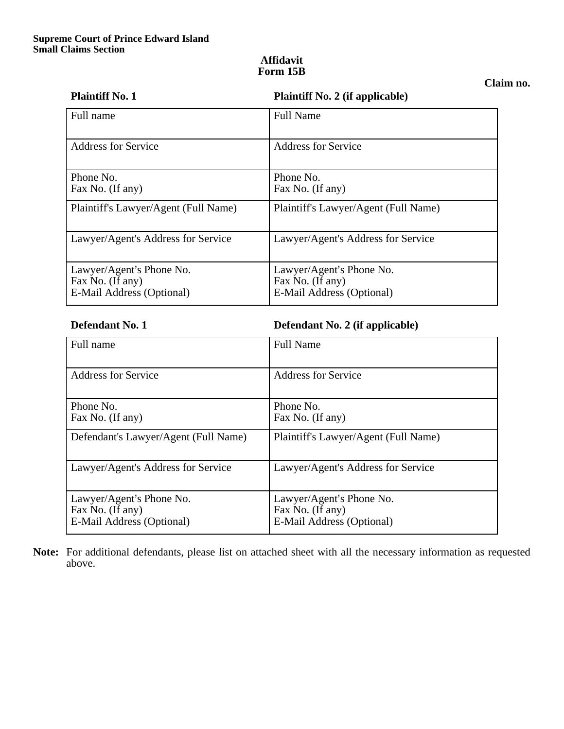### **Affidavit Form 15B**

# **Claim no.**

| <b>Plaintiff No. 1</b>               | <b>Plaintiff No. 2 (if applicable)</b>        |
|--------------------------------------|-----------------------------------------------|
| Full name                            | <b>Full Name</b>                              |
| <b>Address for Service</b>           | <b>Address for Service</b>                    |
| Phone No.                            | Phone No.                                     |
| Fax No. (If any)                     | Fax No. (If any)                              |
| Plaintiff's Lawyer/Agent (Full Name) | Plaintiff's Lawyer/Agent (Full Name)          |
| Lawyer/Agent's Address for Service   | Lawyer/Agent's Address for Service            |
| Lawyer/Agent's Phone No.             | Lawyer/Agent's Phone No.                      |
| Fax No. (If any)                     | Fax No. (If any)<br>E-Mail Address (Optional) |
| E-Mail Address (Optional)            |                                               |

**Defendant No. 1 Defendant No. 2 (if applicable)** 

| Full name                                                                 | <b>Full Name</b>                                                          |
|---------------------------------------------------------------------------|---------------------------------------------------------------------------|
| Address for Service                                                       | <b>Address for Service</b>                                                |
| Phone No.<br>Fax No. (If any)                                             | Phone No.<br>Fax No. (If any)                                             |
| Defendant's Lawyer/Agent (Full Name)                                      | Plaintiff's Lawyer/Agent (Full Name)                                      |
| Lawyer/Agent's Address for Service                                        | Lawyer/Agent's Address for Service                                        |
| Lawyer/Agent's Phone No.<br>Fax No. (If any)<br>E-Mail Address (Optional) | Lawyer/Agent's Phone No.<br>Fax No. (If any)<br>E-Mail Address (Optional) |

**Note:** For additional defendants, please list on attached sheet with all the necessary information as requested above.